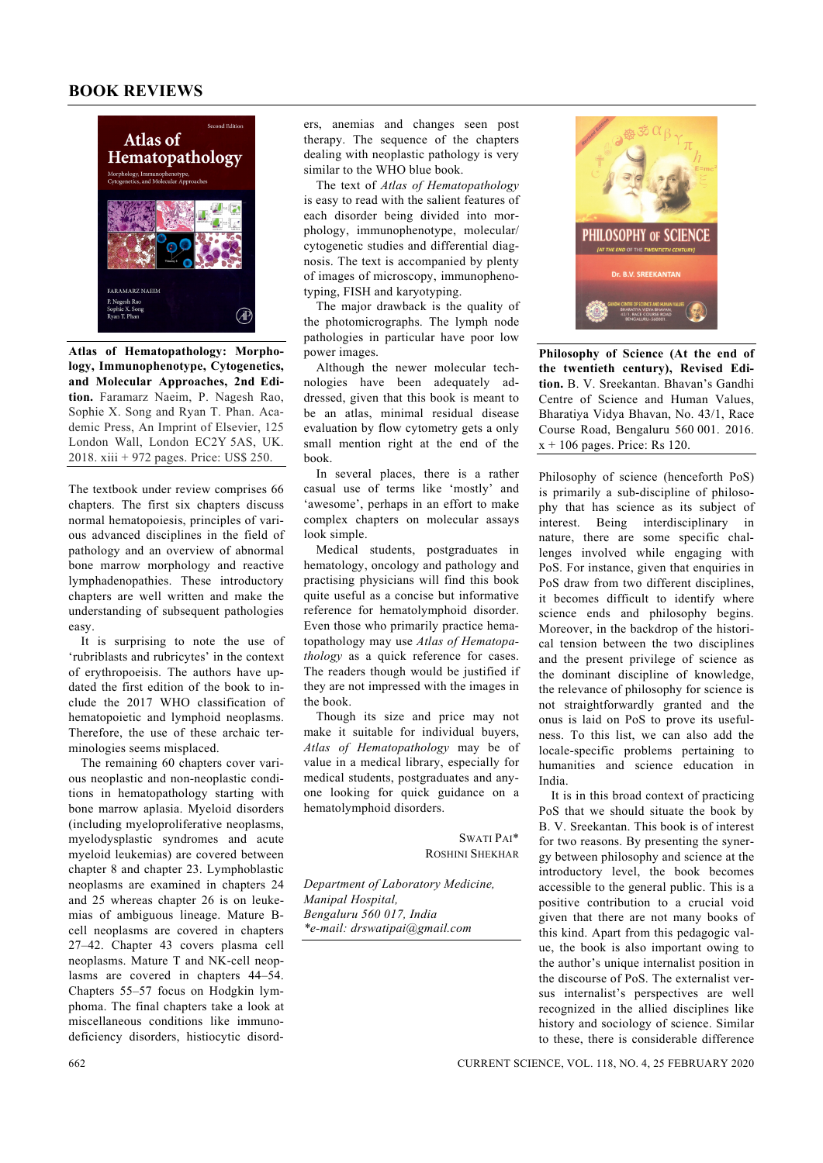## **BOOK REVIEWS**



**Atlas of Hematopathology: Morphology, Immunophenotype, Cytogenetics, and Molecular Approaches, 2nd Edition.** Faramarz Naeim, P. Nagesh Rao, Sophie X. Song and Ryan T. Phan. Academic Press, An Imprint of Elsevier, 125 London Wall, London EC2Y 5AS, UK. 2018. xiii + 972 pages. Price: US\$ 250.

The textbook under review comprises 66 chapters. The first six chapters discuss normal hematopoiesis, principles of various advanced disciplines in the field of pathology and an overview of abnormal bone marrow morphology and reactive lymphadenopathies. These introductory chapters are well written and make the understanding of subsequent pathologies easy.

 It is surprising to note the use of 'rubriblasts and rubricytes' in the context of erythropoeisis. The authors have updated the first edition of the book to include the 2017 WHO classification of hematopoietic and lymphoid neoplasms. Therefore, the use of these archaic terminologies seems misplaced.

 The remaining 60 chapters cover various neoplastic and non-neoplastic conditions in hematopathology starting with bone marrow aplasia. Myeloid disorders (including myeloproliferative neoplasms, myelodysplastic syndromes and acute myeloid leukemias) are covered between chapter 8 and chapter 23. Lymphoblastic neoplasms are examined in chapters 24 and 25 whereas chapter 26 is on leukemias of ambiguous lineage. Mature Bcell neoplasms are covered in chapters 27–42. Chapter 43 covers plasma cell neoplasms. Mature T and NK-cell neoplasms are covered in chapters 44–54. Chapters 55–57 focus on Hodgkin lymphoma. The final chapters take a look at miscellaneous conditions like immunodeficiency disorders, histiocytic disorders, anemias and changes seen post therapy. The sequence of the chapters dealing with neoplastic pathology is very similar to the WHO blue book.

 The text of *Atlas of Hematopathology* is easy to read with the salient features of each disorder being divided into morphology, immunophenotype, molecular/ cytogenetic studies and differential diagnosis. The text is accompanied by plenty of images of microscopy, immunophenotyping, FISH and karyotyping.

 The major drawback is the quality of the photomicrographs. The lymph node pathologies in particular have poor low power images.

 Although the newer molecular technologies have been adequately addressed, given that this book is meant to be an atlas, minimal residual disease evaluation by flow cytometry gets a only small mention right at the end of the book.

 In several places, there is a rather casual use of terms like 'mostly' and 'awesome', perhaps in an effort to make complex chapters on molecular assays look simple.

 Medical students, postgraduates in hematology, oncology and pathology and practising physicians will find this book quite useful as a concise but informative reference for hematolymphoid disorder. Even those who primarily practice hematopathology may use *Atlas of Hematopathology* as a quick reference for cases. The readers though would be justified if they are not impressed with the images in the book.

 Though its size and price may not make it suitable for individual buyers, *Atlas of Hematopathology* may be of value in a medical library, especially for medical students, postgraduates and anyone looking for quick guidance on a hematolymphoid disorders.

> SWATI PAI\* ROSHINI SHEKHAR

*Department of Laboratory Medicine, Manipal Hospital, Bengaluru 560 017, India \*e-mail: drswatipai@gmail.com* 



**Philosophy of Science (At the end of the twentieth century), Revised Edition.** B. V. Sreekantan. Bhavan's Gandhi Centre of Science and Human Values, Bharatiya Vidya Bhavan, No. 43/1, Race Course Road, Bengaluru 560 001. 2016. x + 106 pages. Price: Rs 120.

Philosophy of science (henceforth PoS) is primarily a sub-discipline of philosophy that has science as its subject of interest. Being interdisciplinary in nature, there are some specific challenges involved while engaging with PoS. For instance, given that enquiries in PoS draw from two different disciplines, it becomes difficult to identify where science ends and philosophy begins. Moreover, in the backdrop of the historical tension between the two disciplines and the present privilege of science as the dominant discipline of knowledge, the relevance of philosophy for science is not straightforwardly granted and the onus is laid on PoS to prove its usefulness. To this list, we can also add the locale-specific problems pertaining to humanities and science education in India.

 It is in this broad context of practicing PoS that we should situate the book by B. V. Sreekantan. This book is of interest for two reasons. By presenting the synergy between philosophy and science at the introductory level, the book becomes accessible to the general public. This is a positive contribution to a crucial void given that there are not many books of this kind. Apart from this pedagogic value, the book is also important owing to the author's unique internalist position in the discourse of PoS. The externalist versus internalist's perspectives are well recognized in the allied disciplines like history and sociology of science. Similar to these, there is considerable difference

662 CURRENT SCIENCE, VOL. 118, NO. 4, 25 FEBRUARY 2020